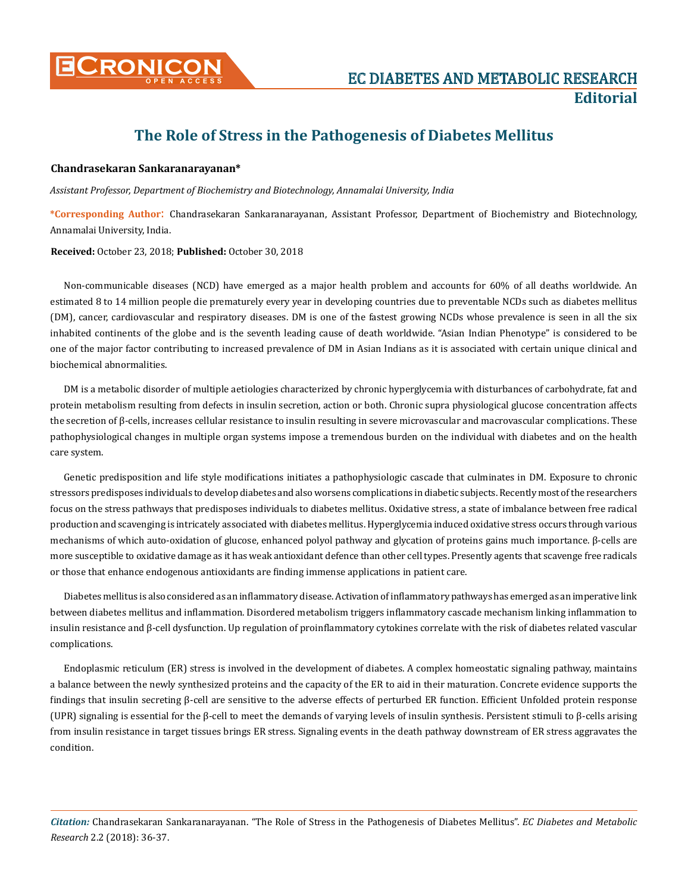

## **The Role of Stress in the Pathogenesis of Diabetes Mellitus**

## **Chandrasekaran Sankaranarayanan\***

*Assistant Professor, Department of Biochemistry and Biotechnology, Annamalai University, India*

**\*Corresponding Author**: Chandrasekaran Sankaranarayanan, Assistant Professor, Department of Biochemistry and Biotechnology, Annamalai University, India.

**Received:** October 23, 2018; **Published:** October 30, 2018

Non-communicable diseases (NCD) have emerged as a major health problem and accounts for 60% of all deaths worldwide. An estimated 8 to 14 million people die prematurely every year in developing countries due to preventable NCDs such as diabetes mellitus (DM), cancer, cardiovascular and respiratory diseases. DM is one of the fastest growing NCDs whose prevalence is seen in all the six inhabited continents of the globe and is the seventh leading cause of death worldwide. "Asian Indian Phenotype" is considered to be one of the major factor contributing to increased prevalence of DM in Asian Indians as it is associated with certain unique clinical and biochemical abnormalities.

DM is a metabolic disorder of multiple aetiologies characterized by chronic hyperglycemia with disturbances of carbohydrate, fat and protein metabolism resulting from defects in insulin secretion, action or both. Chronic supra physiological glucose concentration affects the secretion of β-cells, increases cellular resistance to insulin resulting in severe microvascular and macrovascular complications. These pathophysiological changes in multiple organ systems impose a tremendous burden on the individual with diabetes and on the health care system.

Genetic predisposition and life style modifications initiates a pathophysiologic cascade that culminates in DM. Exposure to chronic stressors predisposes individuals to develop diabetes and also worsens complications in diabetic subjects. Recently most of the researchers focus on the stress pathways that predisposes individuals to diabetes mellitus. Oxidative stress, a state of imbalance between free radical production and scavenging is intricately associated with diabetes mellitus. Hyperglycemia induced oxidative stress occurs through various mechanisms of which auto-oxidation of glucose, enhanced polyol pathway and glycation of proteins gains much importance. β-cells are more susceptible to oxidative damage as it has weak antioxidant defence than other cell types. Presently agents that scavenge free radicals or those that enhance endogenous antioxidants are finding immense applications in patient care.

Diabetes mellitus is also considered as an inflammatory disease. Activation of inflammatory pathways has emerged as an imperative link between diabetes mellitus and inflammation. Disordered metabolism triggers inflammatory cascade mechanism linking inflammation to insulin resistance and β-cell dysfunction. Up regulation of proinflammatory cytokines correlate with the risk of diabetes related vascular complications.

Endoplasmic reticulum (ER) stress is involved in the development of diabetes. A complex homeostatic signaling pathway, maintains a balance between the newly synthesized proteins and the capacity of the ER to aid in their maturation. Concrete evidence supports the findings that insulin secreting β-cell are sensitive to the adverse effects of perturbed ER function. Efficient Unfolded protein response (UPR) signaling is essential for the β-cell to meet the demands of varying levels of insulin synthesis. Persistent stimuli to β-cells arising from insulin resistance in target tissues brings ER stress. Signaling events in the death pathway downstream of ER stress aggravates the condition.

*Citation:* Chandrasekaran Sankaranarayanan. "The Role of Stress in the Pathogenesis of Diabetes Mellitus". *EC Diabetes and Metabolic Research* 2.2 (2018): 36-37.